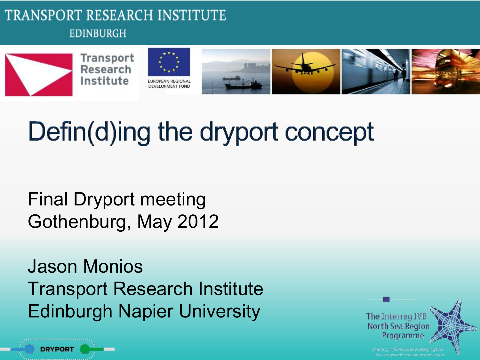#### TRANSPORT RESEARCH INSTITUTE **EDINBURGH**



# Defin(d)ing the dryport concept

Final Dryport meeting Gothenburg, May 2012

**DRYPORT** 

Jason Monios Transport Research Institute Edinburgh Napier University

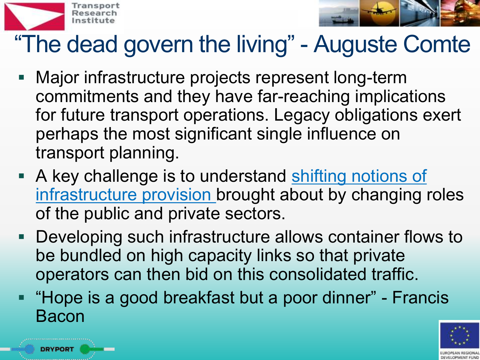



### "The dead govern the living" - Auguste Comte

- Major infrastructure projects represent long-term commitments and they have far-reaching implications for future transport operations. Legacy obligations exert perhaps the most significant single influence on transport planning.
- A key challenge is to understand shifting notions of infrastructure provision brought about by changing roles of the public and private sectors.
- Developing such infrastructure allows container flows to be bundled on high capacity links so that private operators can then bid on this consolidated traffic.
- **F** "Hope is a good breakfast but a poor dinner" Francis Bacon

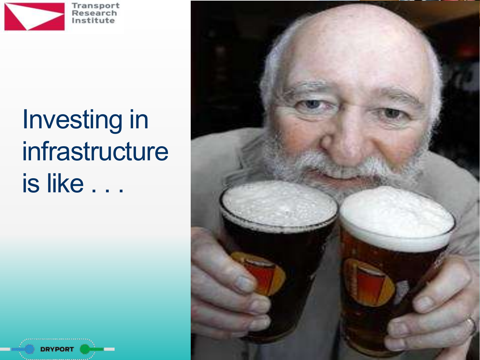

**DRYPOR** 

# Investing in infrastructure is like . . .

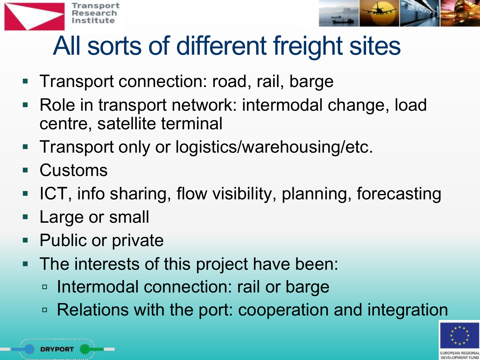



# All sorts of different freight sites

- **Transport connection: road, rail, barge**
- Role in transport network: intermodal change, load centre, satellite terminal
- **Transport only or logistics/warehousing/etc.**
- Customs

DRYPOR1

- ICT, info sharing, flow visibility, planning, forecasting
- Large or small
- Public or private
- The interests of this project have been:
	- □ Intermodal connection: rail or barge
	- Relations with the port: cooperation and integration

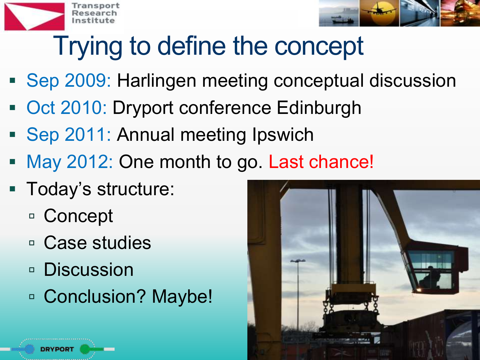



# Trying to define the concept

- Sep 2009: Harlingen meeting conceptual discussion
- **Oct 2010: Dryport conference Edinburgh**
- Sep 2011: Annual meeting Ipswich
- May 2012: One month to go. Last chance!
- **Today's structure:** 
	- Concept
	- Case studies
	- □ Discussion
	- □ Conclusion? Maybe!

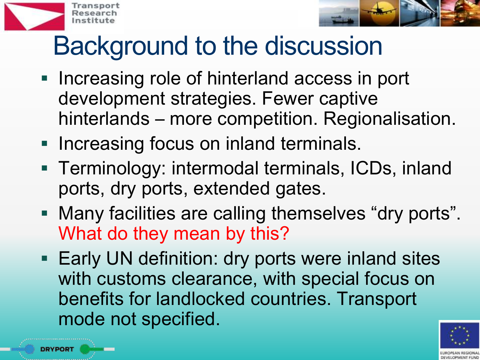



## Background to the discussion

- **Increasing role of hinterland access in port** development strategies. Fewer captive hinterlands – more competition. Regionalisation.
- **Increasing focus on inland terminals.**
- Terminology: intermodal terminals, ICDs, inland ports, dry ports, extended gates.
- Many facilities are calling themselves "dry ports". What do they mean by this?
- **Early UN definition: dry ports were inland sites** with customs clearance, with special focus on benefits for landlocked countries. Transport mode not specified.

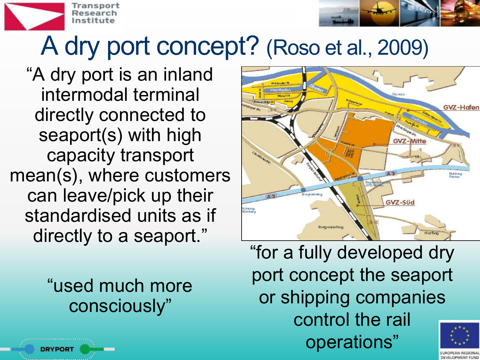



### A dry port concept? (Roso et al., 2009)

"A dry port is an inland intermodal terminal directly connected to seaport(s) with high capacity transport mean(s), where customers can leave/pick up their standardised units as if directly to a seaport."

> "used much more consciously"



"for a fully developed dry port concept the seaport or shipping companies control the rail operations"

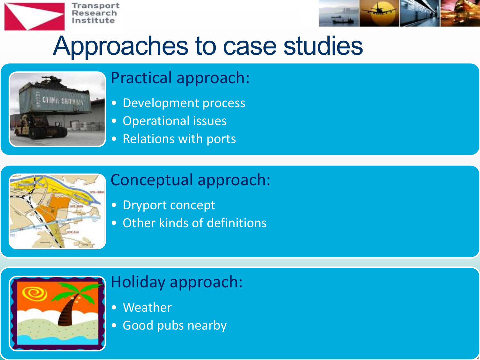



### Approaches to case studies



#### Practical approach:

- Development process
- Operational issues
- Relations with ports



#### Conceptual approach:

- Dryport concept
- Other kinds of definitions



#### Holiday approach:

- Weather
- Good pubs nearby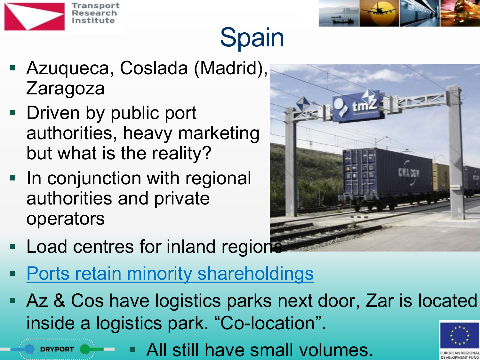

**DRYPORT** 



## **Spain**

- Azuqueca, Coslada (Madrid), Zaragoza
- **Driven by public port** authorities, heavy marketing but what is the reality?
- **In conjunction with regional** authorities and private operators



- **Load centres for inland region**
- **Ports retain minority shareholdings**
- **Az & Cos have logistics parks next door, Zar is located** inside a logistics park. "Co-location".

All still have small volumes.

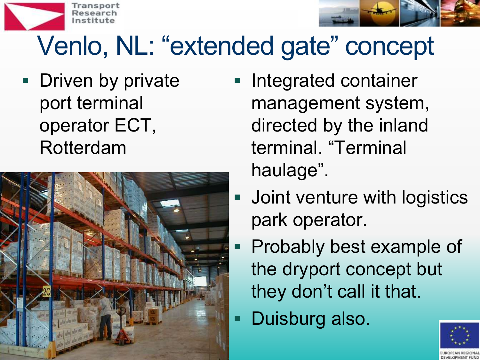



# Venlo, NL: "extended gate" concept

**Driven by private** port terminal operator ECT, Rotterdam



- Integrated container management system, directed by the inland terminal. "Terminal haulage".
- Joint venture with logistics park operator.
	- Probably best example of the dryport concept but they don't call it that.
- Duisburg also.

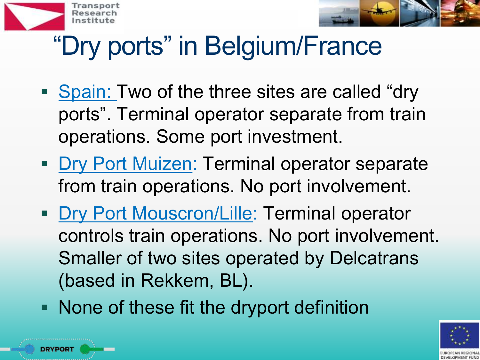



# "Dry ports" in Belgium/France

- Spain: Two of the three sites are called "dry" ports". Terminal operator separate from train operations. Some port investment.
- **Dry Port Muizen: Terminal operator separate** from train operations. No port involvement.
- **Dry Port Mouscron/Lille: Terminal operator** controls train operations. No port involvement. Smaller of two sites operated by Delcatrans (based in Rekkem, BL).
- **None of these fit the dryport definition**

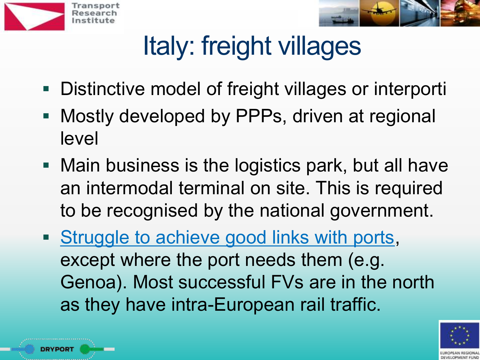



# Italy: freight villages

- **Distinctive model of freight villages or interporti**
- **Mostly developed by PPPs, driven at regional** level
- **Main business is the logistics park, but all have** an intermodal terminal on site. This is required to be recognised by the national government.
- **Struggle to achieve good links with ports,** except where the port needs them (e.g. Genoa). Most successful FVs are in the north as they have intra-European rail traffic.

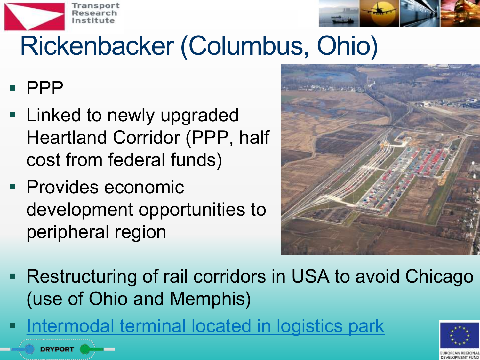

DRYPORT



# Rickenbacker (Columbus, Ohio)

 $\blacksquare$  PPP

- **Example 1** Linked to newly upgraded Heartland Corridor (PPP, half cost from federal funds)
- **Provides economic** development opportunities to peripheral region



**Restructuring of rail corridors in USA to avoid Chicago** (use of Ohio and Memphis)

Intermodal terminal located in logistics park

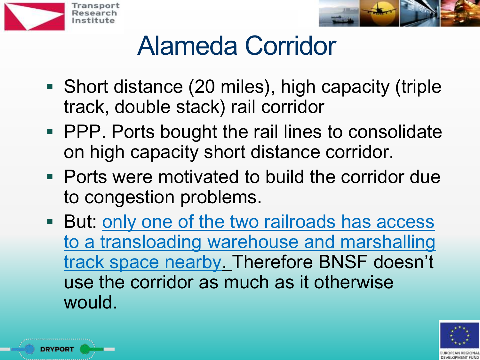



## Alameda Corridor

- Short distance (20 miles), high capacity (triple track, double stack) rail corridor
- **PPP.** Ports bought the rail lines to consolidate on high capacity short distance corridor.
- Ports were motivated to build the corridor due to congestion problems.
- **But: only one of the two railroads has access** to a transloading warehouse and marshalling track space nearby. Therefore BNSF doesn't use the corridor as much as it otherwise would.

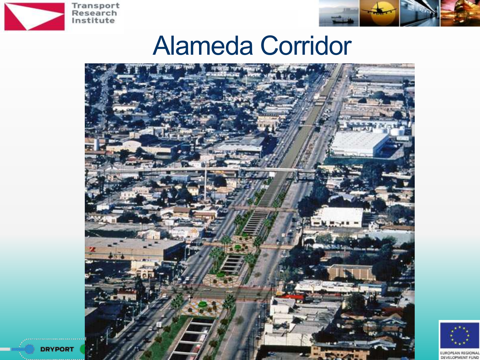

**DRYPORT** 



### Alameda Corridor





EUROPEAN REGIONAL DEVELOPMENT FUND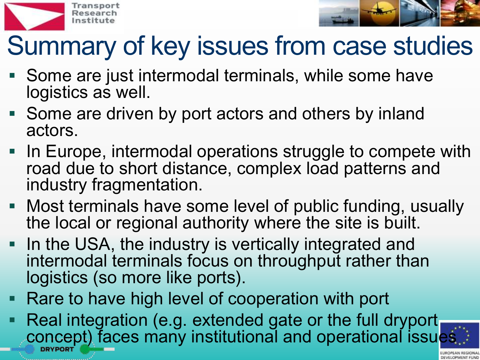



## Summary of key issues from case studies

- Some are just intermodal terminals, while some have logistics as well.
- Some are driven by port actors and others by inland actors.
- In Europe, intermodal operations struggle to compete with road due to short distance, complex load patterns and industry fragmentation.
- **Most terminals have some level of public funding, usually** the local or regional authority where the site is built.
- In the USA, the industry is vertically integrated and intermodal terminals focus on throughput rather than logistics (so more like ports).
- Rare to have high level of cooperation with port
- Real integration (e.g. extended gate or the full dryport concept) faces many institutional and operational issues

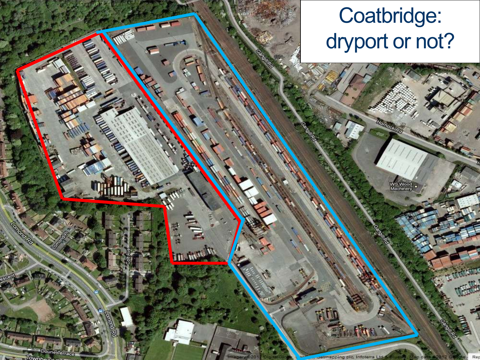#### Coatbridge: dryport or not?

WS Wood<br>Machinery

**CANALLS** 

**READER** 

oune Terr.

 $\mathbf{r}$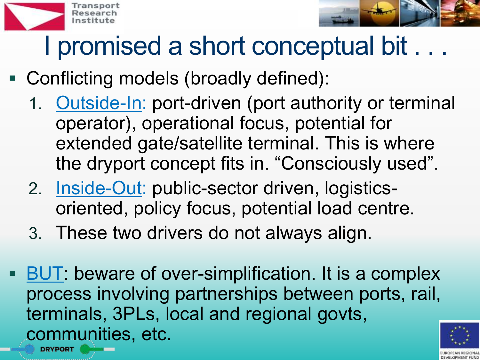



## I promised a short conceptual bit . . .

#### Conflicting models (broadly defined):

- 1. Outside-In: port-driven (port authority or terminal operator), operational focus, potential for extended gate/satellite terminal. This is where the dryport concept fits in. "Consciously used".
- 2. Inside-Out: public-sector driven, logisticsoriented, policy focus, potential load centre.
- 3. These two drivers do not always align.
- BUT: beware of over-simplification. It is a complex process involving partnerships between ports, rail, terminals, 3PLs, local and regional govts, communities, etc.

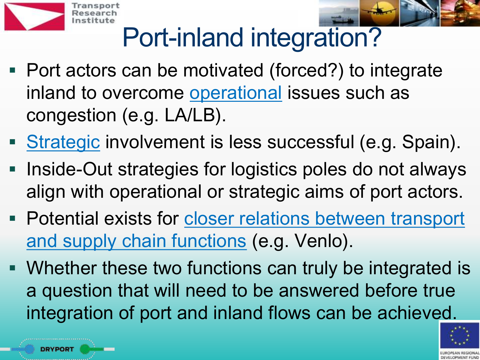



## Port-inland integration?

- Port actors can be motivated (forced?) to integrate inland to overcome operational issues such as congestion (e.g. LA/LB).
- Strategic involvement is less successful (e.g. Spain).
- Inside-Out strategies for logistics poles do not always align with operational or strategic aims of port actors.
- **Potential exists for closer relations between transport** and supply chain functions (e.g. Venlo).
- Whether these two functions can truly be integrated is a question that will need to be answered before true integration of port and inland flows can be achieved.

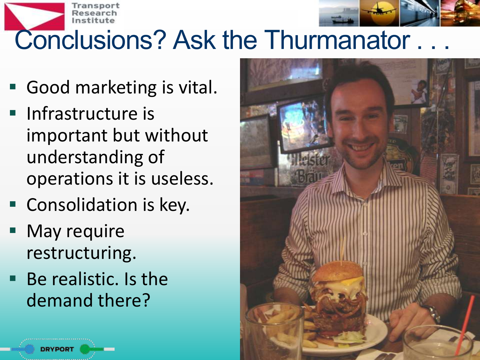



## Conclusions? Ask the Thurmanator.

- Good marketing is vital.
- **Infrastructure is** important but without understanding of operations it is useless.
- Consolidation is key.
- May require restructuring.
- Be realistic. Is the demand there?